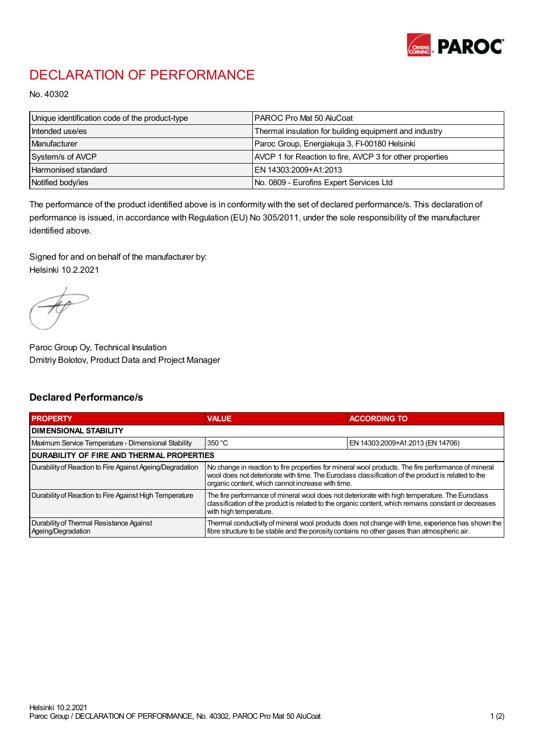

## DECLARATION OF PERFORMANCE

No. 40302

| Unique identification code of the product-type | IPAROC Pro Mat 50 AluCoat                                |
|------------------------------------------------|----------------------------------------------------------|
| Intended use/es                                | Thermal insulation for building equipment and industry   |
| Manufacturer                                   | Paroc Group, Energiakuja 3, FI-00180 Helsinki            |
| System/s of AVCP                               | AVCP 1 for Reaction to fire, AVCP 3 for other properties |
| Harmonised standard                            | IEN 14303:2009+A1:2013                                   |
| Notified body/ies                              | No. 0809 - Eurofins Expert Services Ltd                  |

The performance of the product identified above is in conformity with the set of declared performance/s. This declaration of performance is issued, in accordance with Regulation (EU) No 305/2011, under the sole responsibility of the manufacturer identified above.

Signed for and on behalf of the manufacturer by: Helsinki 10.2.2021

Paroc Group Oy, Technical Insulation Dmitriy Bolotov, Product Data and Project Manager

## Declared Performance/s

| <b>PROPERTY</b>                                                | <b>VALUE</b>                                                                                                                                                                                                                                                   | <b>ACCORDING TO</b>              |  |
|----------------------------------------------------------------|----------------------------------------------------------------------------------------------------------------------------------------------------------------------------------------------------------------------------------------------------------------|----------------------------------|--|
| <b>DIMENSIONAL STABILITY</b>                                   |                                                                                                                                                                                                                                                                |                                  |  |
| Maximum Service Temperature - Dimensional Stability            | 350 °C                                                                                                                                                                                                                                                         | EN 14303:2009+A1:2013 (EN 14706) |  |
| <b>DURABILITY OF FIRE AND THERMAL PROPERTIES</b>               |                                                                                                                                                                                                                                                                |                                  |  |
| Durability of Reaction to Fire Against Ageing/Degradation      | No change in reaction to fire properties for mineral wool products. The fire performance of mineral<br>wool does not deteriorate with time. The Euroclass classification of the product is related to the<br>organic content, which cannot increase with time. |                                  |  |
| Durability of Reaction to Fire Against High Temperature        | The fire performance of mineral wool does not deteriorate with high temperature. The Euroclass<br>classification of the product is related to the organic content, which remains constant or decreases<br>with high temperature.                               |                                  |  |
| Durability of Thermal Resistance Against<br>Ageing/Degradation | Thermal conductivity of mineral wool products does not change with time, experience has shown the<br>fibre structure to be stable and the porosity contains no other gases than atmospheric air.                                                               |                                  |  |